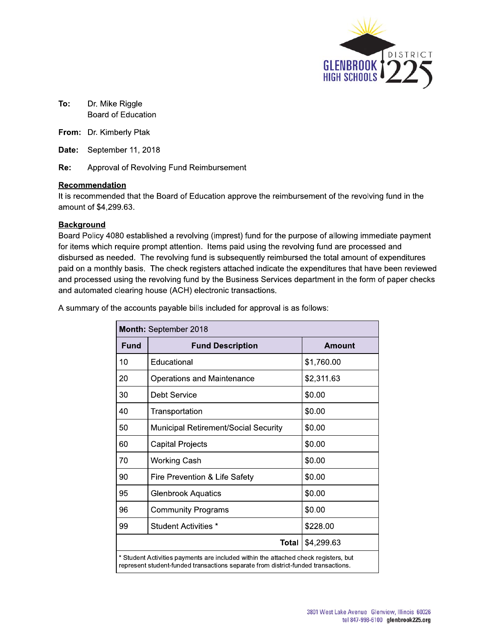

- To: Dr. Mike Riggle Board of Education
- From: Dr. Kimberly Ptak
- Date: September 11, 2018

Re: Approval of Revolving Fund Reimbursement

#### Recommendation

It is recommended that the Board of Education approve the reimbursement of the revolving fund in the amount of \$4,299.63.

#### **Background**

Board Policy 4080 established a revolving (imprest) fund for the purpose of allowing immediate payment for items which require prompt attention. Items paid using the revolving fund are processed and disbursed as needed. The revolving fund is subsequently reimbursed the total amount of expenditures paid on a monthly basis. The check registers attached indicate the expenditures that have been reviewed and processed using the revolving fund by the Business Services department in the form of paper checks and automated clearing house (ACH) electronic transactions.

A summary of the accounts payable bills included for approval is as follows:

| Month: September 2018                                                                                                                                                    |                                      |            |  |  |  |  |
|--------------------------------------------------------------------------------------------------------------------------------------------------------------------------|--------------------------------------|------------|--|--|--|--|
| Fund                                                                                                                                                                     | <b>Fund Description</b>              | Amount     |  |  |  |  |
| 10                                                                                                                                                                       | Educational                          | \$1,760.00 |  |  |  |  |
| 20                                                                                                                                                                       | <b>Operations and Maintenance</b>    | \$2,311.63 |  |  |  |  |
| 30                                                                                                                                                                       | Debt Service                         | \$0.00     |  |  |  |  |
| 40                                                                                                                                                                       | Transportation                       | \$0.00     |  |  |  |  |
| 50                                                                                                                                                                       | Municipal Retirement/Social Security | \$0.00     |  |  |  |  |
| 60                                                                                                                                                                       | <b>Capital Projects</b>              | \$0.00     |  |  |  |  |
| 70                                                                                                                                                                       | <b>Working Cash</b>                  | \$0.00     |  |  |  |  |
| 90                                                                                                                                                                       | Fire Prevention & Life Safety        | \$0.00     |  |  |  |  |
| 95                                                                                                                                                                       | <b>Glenbrook Aquatics</b>            | \$0.00     |  |  |  |  |
| 96                                                                                                                                                                       | <b>Community Programs</b>            | \$0.00     |  |  |  |  |
| 99                                                                                                                                                                       | Student Activities *                 | \$228.00   |  |  |  |  |
|                                                                                                                                                                          | Total<br>\$4,299.63                  |            |  |  |  |  |
| * Student Activities payments are included within the attached check registers, but<br>represent student-funded transactions separate from district-funded transactions. |                                      |            |  |  |  |  |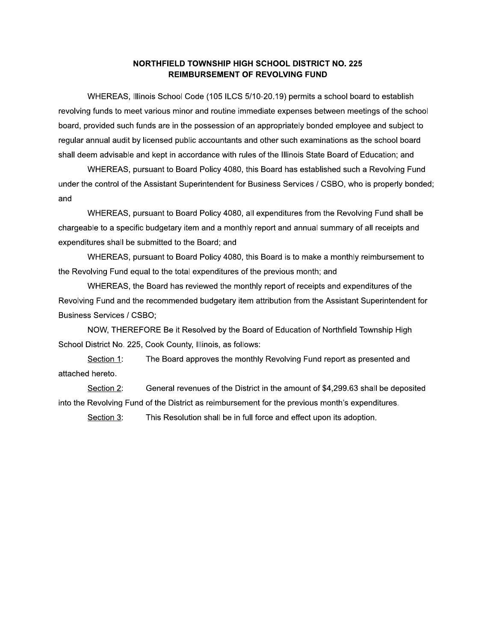### NORTHFIELD TOWNSHIP HIGH SCHOOL DISTRICT NO. 225 **REIMBURSEMENT OF REVOLVING FUND**

WHEREAS, Illinois School Code (105 ILCS 5/10-20.19) permits a school board to establish revolving funds to meet various minor and routine immediate expenses between meetings of the school board, provided such funds are in the possession of an appropriately bonded employee and subject to regular annual audit by licensed public accountants and other such examinations as the school board shall deem advisable and kept in accordance with rules of the Illinois State Board of Education; and

WHEREAS, pursuant to Board Policy 4080, this Board has established such a Revolving Fund under the control of the Assistant Superintendent for Business Services / CSBO, who is properly bonded; and

WHEREAS, pursuant to Board Policy 4080, all expenditures from the Revolving Fund shall be chargeable to a specific budgetary item and a monthly report and annual summary of all receipts and expenditures shall be submitted to the Board; and

WHEREAS, pursuant to Board Policy 4080, this Board is to make a monthly reimbursement to the Revolving Fund equal to the total expenditures of the previous month; and

WHEREAS, the Board has reviewed the monthly report of receipts and expenditures of the Revolving Fund and the recommended budgetary item attribution from the Assistant Superintendent for **Business Services / CSBO;** 

NOW, THEREFORE Be it Resolved by the Board of Education of Northfield Township High School District No. 225, Cook County, Illinois, as follows:

The Board approves the monthly Revolving Fund report as presented and Section 1: attached hereto.

Section 2: General revenues of the District in the amount of \$4,299.63 shall be deposited into the Revolving Fund of the District as reimbursement for the previous month's expenditures.

Section 3: This Resolution shall be in full force and effect upon its adoption.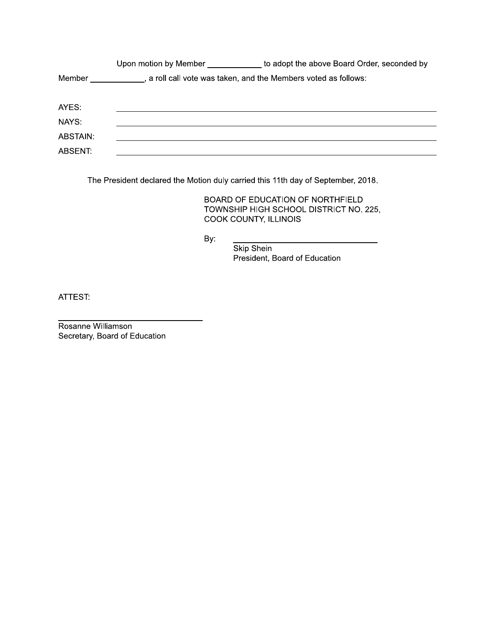|          | Upon motion by Member | to adopt the above Board Order, seconded by                     |
|----------|-----------------------|-----------------------------------------------------------------|
| Member   |                       | , a roll call vote was taken, and the Members voted as follows: |
| AYES:    |                       |                                                                 |
| NAYS:    |                       |                                                                 |
| ABSTAIN: |                       |                                                                 |
| ABSENT:  |                       |                                                                 |

The President declared the Motion duly carried this 11th day of September, 2018.

BOARD OF EDUCATION OF NORTHFIELD TOWNSHIP HIGH SCHOOL DISTRICT NO. 225, COOK COUNTY, ILLINOIS

By:

Skip Shein President, Board of Education

ATTEST:

Rosanne Williamson Secretary, Board of Education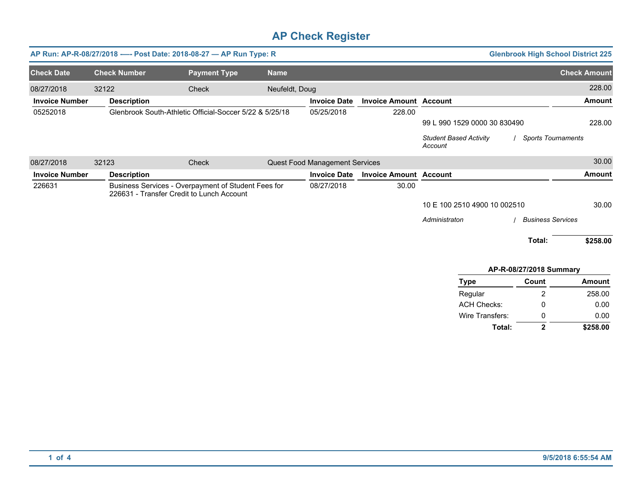| AP Run: AP-R-08/27/2018 ---- Post Date: 2018-08-27 - AP Run Type: R<br><b>Glenbrook High School District 225</b> |                                           |                                                         |                |                                |                               |                                          |                           |                     |
|------------------------------------------------------------------------------------------------------------------|-------------------------------------------|---------------------------------------------------------|----------------|--------------------------------|-------------------------------|------------------------------------------|---------------------------|---------------------|
| <b>Check Date</b>                                                                                                | <b>Check Number</b>                       | <b>Payment Type</b>                                     | <b>Name</b>    |                                |                               |                                          |                           | <b>Check Amount</b> |
| 08/27/2018                                                                                                       | 32122                                     | Check                                                   | Neufeldt, Doug |                                |                               |                                          |                           | 228.00              |
| <b>Invoice Number</b>                                                                                            | <b>Description</b>                        |                                                         |                | <b>Invoice Date</b>            | <b>Invoice Amount Account</b> |                                          |                           | Amount              |
| 05252018                                                                                                         |                                           | Glenbrook South-Athletic Official-Soccer 5/22 & 5/25/18 |                | 05/25/2018                     | 228.00                        |                                          |                           |                     |
|                                                                                                                  |                                           |                                                         |                |                                |                               | 99 L 990 1529 0000 30 830490             |                           | 228.00              |
|                                                                                                                  |                                           |                                                         |                |                                |                               | <b>Student Based Activity</b><br>Account | <b>Sports Tournaments</b> |                     |
| 08/27/2018                                                                                                       | 32123                                     | Check                                                   |                | Quest Food Management Services |                               |                                          |                           | 30.00               |
| <b>Invoice Number</b>                                                                                            | <b>Description</b>                        |                                                         |                | <b>Invoice Date</b>            | <b>Invoice Amount Account</b> |                                          |                           | <b>Amount</b>       |
| 226631                                                                                                           | 226631 - Transfer Credit to Lunch Account | Business Services - Overpayment of Student Fees for     |                | 08/27/2018                     | 30.00                         |                                          |                           |                     |
|                                                                                                                  |                                           |                                                         |                |                                |                               | 10 E 100 2510 4900 10 002510             |                           | 30.00               |
|                                                                                                                  |                                           |                                                         |                |                                |                               | Administraton                            | <b>Business Services</b>  |                     |
|                                                                                                                  |                                           |                                                         |                |                                |                               |                                          | Total:                    | \$258.00            |
|                                                                                                                  |                                           |                                                         |                |                                |                               |                                          |                           |                     |

### **APR08/27/2018 Summary**

| <b>Type</b>        | Count | <b>Amount</b> |
|--------------------|-------|---------------|
| Regular            | 2     | 258.00        |
| <b>ACH Checks:</b> | Ω     | 0.00          |
| Wire Transfers:    | 0     | 0.00          |
| Total:             | 2     | \$258.00      |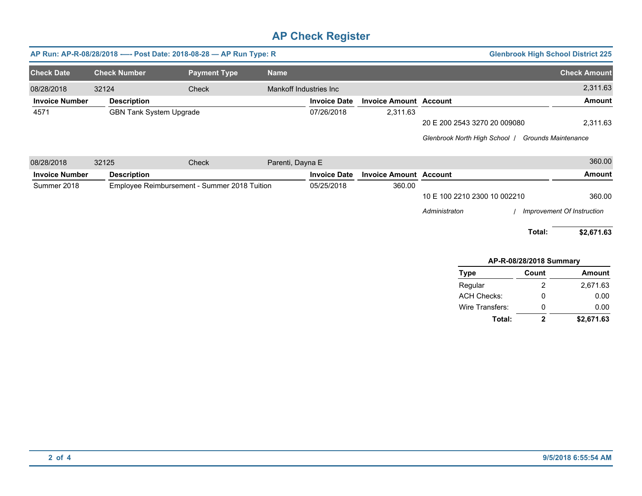| <b>Glenbrook High School District 225</b><br>AP Run: AP-R-08/28/2018 ---- Post Date: 2018-08-28 - AP Run Type: R |                                |                                              |                        |                     |                               |                              |                            |
|------------------------------------------------------------------------------------------------------------------|--------------------------------|----------------------------------------------|------------------------|---------------------|-------------------------------|------------------------------|----------------------------|
| <b>Check Date</b>                                                                                                | <b>Check Number</b>            | <b>Payment Type</b>                          | <b>Name</b>            |                     |                               |                              | <b>Check Amount</b>        |
| 08/28/2018                                                                                                       | 32124                          | Check                                        | Mankoff Industries Inc |                     |                               |                              | 2,311.63                   |
| <b>Invoice Number</b>                                                                                            | <b>Description</b>             |                                              |                        | <b>Invoice Date</b> | <b>Invoice Amount Account</b> |                              | <b>Amount</b>              |
| 4571                                                                                                             | <b>GBN Tank System Upgrade</b> |                                              |                        | 07/26/2018          | 2,311.63                      |                              |                            |
|                                                                                                                  |                                |                                              |                        |                     |                               | 20 E 200 2543 3270 20 009080 | 2,311.63                   |
|                                                                                                                  |                                |                                              |                        |                     |                               | Glenbrook North High School  | Grounds Maintenance        |
| 08/28/2018                                                                                                       | 32125                          | Check                                        | Parenti, Dayna E       |                     |                               |                              | 360.00                     |
| <b>Invoice Number</b>                                                                                            | <b>Description</b>             |                                              |                        | <b>Invoice Date</b> | <b>Invoice Amount Account</b> |                              | <b>Amount</b>              |
| Summer 2018                                                                                                      |                                | Employee Reimbursement - Summer 2018 Tuition |                        | 05/25/2018          | 360.00                        |                              |                            |
|                                                                                                                  |                                |                                              |                        |                     |                               | 10 E 100 2210 2300 10 002210 | 360.00                     |
|                                                                                                                  |                                |                                              |                        |                     |                               | Administraton                | Improvement Of Instruction |
|                                                                                                                  |                                |                                              |                        |                     |                               |                              | Total:<br>\$2,671.63       |

| AP-R-08/28/2018 Summary |       |               |  |  |  |  |
|-------------------------|-------|---------------|--|--|--|--|
| <b>Type</b>             | Count | <b>Amount</b> |  |  |  |  |
| Regular                 | 2     | 2,671.63      |  |  |  |  |
| <b>ACH Checks:</b>      | ი     | 0.00          |  |  |  |  |
| Wire Transfers:         | O     | 0.00          |  |  |  |  |
| Total:                  | 2     | \$2,671.63    |  |  |  |  |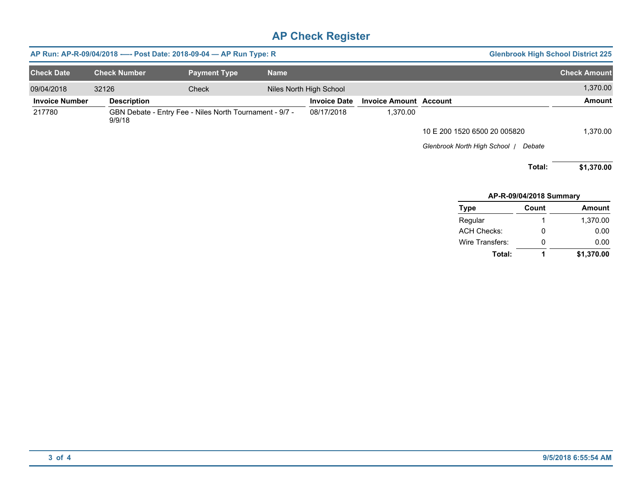| <b>Check Date</b>     | <b>Check Number</b> | <b>Payment Type</b>                                     | <b>Name</b> |                         |                               |                               |                         | <b>Check Amount</b> |
|-----------------------|---------------------|---------------------------------------------------------|-------------|-------------------------|-------------------------------|-------------------------------|-------------------------|---------------------|
| 09/04/2018            | 32126               | Check                                                   |             | Niles North High School |                               |                               |                         | 1,370.00            |
| <b>Invoice Number</b> | <b>Description</b>  |                                                         |             | <b>Invoice Date</b>     | <b>Invoice Amount Account</b> |                               |                         | <b>Amount</b>       |
| 217780                | 9/9/18              | GBN Debate - Entry Fee - Niles North Tournament - 9/7 - |             | 08/17/2018              | 1,370.00                      |                               |                         |                     |
|                       |                     |                                                         |             |                         |                               | 10 E 200 1520 6500 20 005820  |                         | 1,370.00            |
|                       |                     |                                                         |             |                         |                               | Glenbrook North High School / | Debate                  |                     |
|                       |                     |                                                         |             |                         |                               |                               | Total:                  | \$1,370.00          |
|                       |                     |                                                         |             |                         |                               |                               | AP-R-09/04/2018 Summary |                     |
|                       |                     |                                                         |             |                         |                               | Type                          | Count                   | Amount              |
|                       |                     |                                                         |             |                         |                               | Regular                       | 1                       | 1,370.00            |
|                       |                     |                                                         |             |                         |                               | <b>ACH Checks:</b>            | 0                       | 0.00                |
|                       |                     |                                                         |             |                         |                               | Wire Transfers:               | 0                       | 0.00                |
|                       |                     |                                                         |             |                         |                               | Total:                        | 1                       | \$1,370.00          |